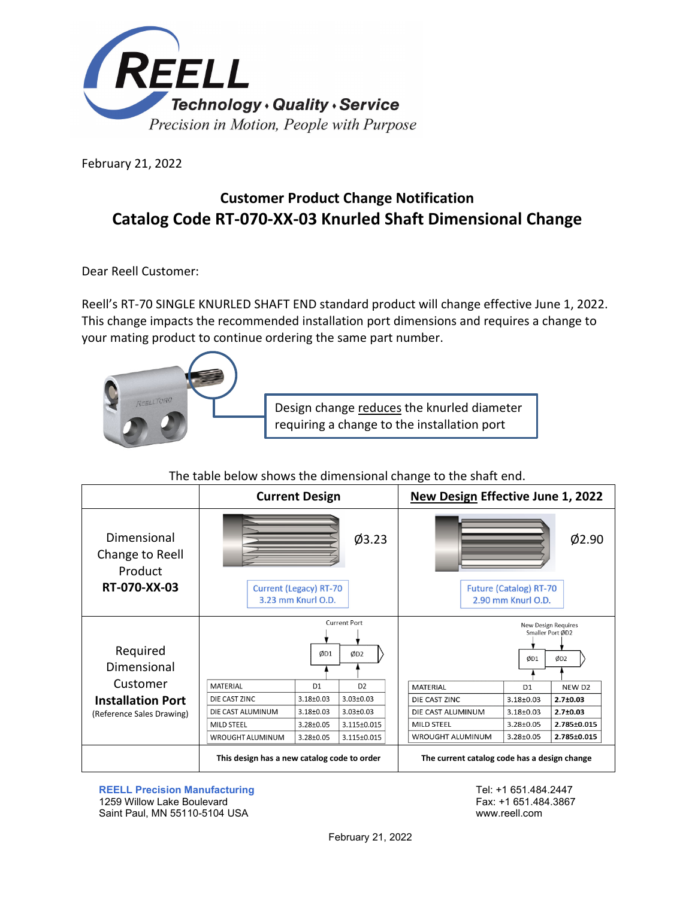

February 21, 2022

## **Customer Product Change Notification Catalog Code RT-070-XX-03 Knurled Shaft Dimensional Change**

Dear Reell Customer:

Reell's RT-70 SINGLE KNURLED SHAFT END standard product will change effective June 1, 2022. This change impacts the recommended installation port dimensions and requires a change to your mating product to continue ordering the same part number.



Design change reduces the knurled diameter requiring a change to the installation port

## The table below shows the dimensional change to the shaft end.

|                                                           | <b>Current Design</b>                       |                                                     |                     |  | New Design Effective June 1, 2022            |                                                     |                                                |
|-----------------------------------------------------------|---------------------------------------------|-----------------------------------------------------|---------------------|--|----------------------------------------------|-----------------------------------------------------|------------------------------------------------|
| Dimensional<br>Change to Reell<br>Product<br>RT-070-XX-03 |                                             | <b>Current (Legacy) RT-70</b><br>3.23 mm Knurl O.D. | Ø3.23               |  |                                              | <b>Future (Catalog) RT-70</b><br>2.90 mm Knurl O.D. | Ø2.90                                          |
|                                                           |                                             |                                                     | <b>Current Port</b> |  |                                              |                                                     | <b>New Design Requires</b><br>Smaller Port ØD2 |
| Required                                                  |                                             | ØD1                                                 | ØD <sub>2</sub>     |  |                                              | ØD1                                                 | ØD2                                            |
| Dimensional                                               |                                             |                                                     |                     |  |                                              |                                                     |                                                |
| Customer                                                  | MATERIAL                                    | D <sub>1</sub>                                      | D <sub>2</sub>      |  | <b>MATERIAL</b>                              | D <sub>1</sub>                                      | NEW D <sub>2</sub>                             |
| <b>Installation Port</b>                                  | DIE CAST ZINC                               | $3.18 + 0.03$                                       | $3.03 \pm 0.03$     |  | DIE CAST ZINC                                | $3.18 + 0.03$                                       | $2.7 \pm 0.03$                                 |
| (Reference Sales Drawing)                                 | DIE CAST ALUMINUM                           | $3.18 + 0.03$                                       | $3.03 \pm 0.03$     |  | DIE CAST ALUMINUM                            | $3.18 + 0.03$                                       | $2.7 \pm 0.03$                                 |
|                                                           | MILD STEEL                                  | 3.28±0.05                                           | 3.115±0.015         |  | <b>MILD STEEL</b>                            | $3.28 \pm 0.05$                                     | 2.785±0.015                                    |
|                                                           | WROUGHT ALUMINUM                            | $3.28 \pm 0.05$                                     | 3.115±0.015         |  | <b>WROUGHT ALUMINUM</b>                      | $3.28 + 0.05$                                       | 2.785±0.015                                    |
|                                                           | This design has a new catalog code to order |                                                     |                     |  | The current catalog code has a design change |                                                     |                                                |

**REELL Precision Manufacturing** 1259 Willow Lake Boulevard Saint Paul, MN 55110-5104 USA

Tel: +1 651.484.2447 Fax: +1 651.484.3867 www.reell.com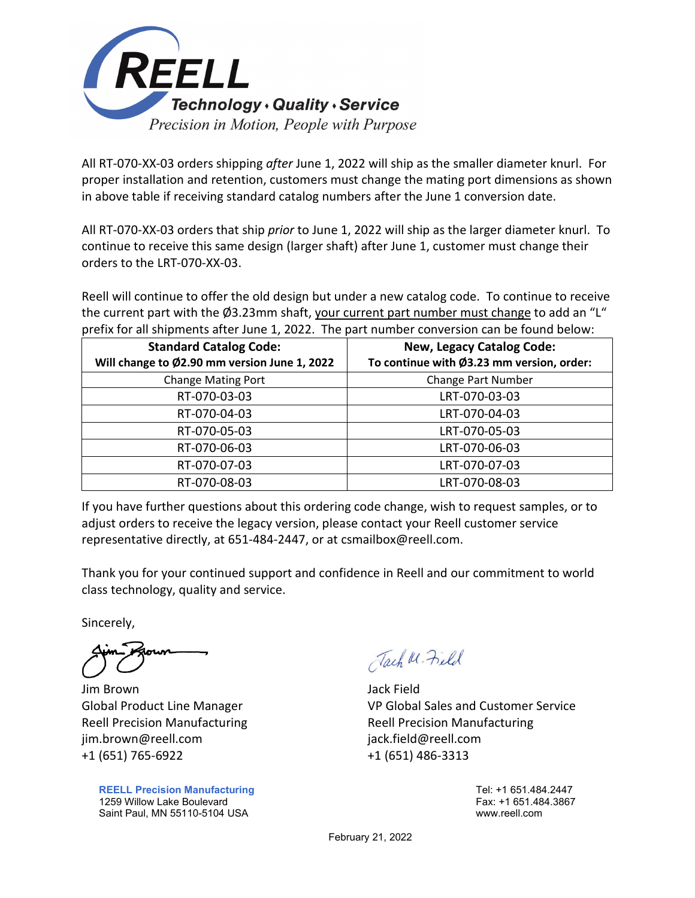

All RT-070-XX-03 orders shipping *after* June 1, 2022 will ship as the smaller diameter knurl. For proper installation and retention, customers must change the mating port dimensions as shown in above table if receiving standard catalog numbers after the June 1 conversion date.

All RT-070-XX-03 orders that ship *prior* to June 1, 2022 will ship as the larger diameter knurl. To continue to receive this same design (larger shaft) after June 1, customer must change their orders to the LRT-070-XX-03.

Reell will continue to offer the old design but under a new catalog code. To continue to receive the current part with the Ø3.23mm shaft, your current part number must change to add an "L" prefix for all shipments after June 1, 2022. The part number conversion can be found below:

| <b>Standard Catalog Code:</b><br>Will change to Ø2.90 mm version June 1, 2022 | <b>New, Legacy Catalog Code:</b><br>To continue with Ø3.23 mm version, order: |  |  |
|-------------------------------------------------------------------------------|-------------------------------------------------------------------------------|--|--|
| <b>Change Mating Port</b>                                                     | <b>Change Part Number</b>                                                     |  |  |
| RT-070-03-03                                                                  | LRT-070-03-03                                                                 |  |  |
| RT-070-04-03                                                                  | LRT-070-04-03                                                                 |  |  |
| RT-070-05-03                                                                  | LRT-070-05-03                                                                 |  |  |
| RT-070-06-03                                                                  | LRT-070-06-03                                                                 |  |  |
| RT-070-07-03                                                                  | LRT-070-07-03                                                                 |  |  |
| RT-070-08-03                                                                  | LRT-070-08-03                                                                 |  |  |

If you have further questions about this ordering code change, wish to request samples, or to adjust orders to receive the legacy version, please contact your Reell customer service representative directly, at 651-484-2447, or at csmailbox@reell.com.

Thank you for your continued support and confidence in Reell and our commitment to world class technology, quality and service.

Sincerely,

Jim Brown Jack Field jim.brown@reell.com jack.field@reell.com +1 (651) 765-6922 +1 (651) 486-3313

**REELL Precision Manufacturing** 1259 Willow Lake Boulevard Saint Paul, MN 55110-5104 USA

Tach W. Field

Global Product Line Manager VP Global Sales and Customer Service Reell Precision Manufacturing The Reell Precision Manufacturing

> Tel: +1 651.484.2447 Fax: +1 651.484.3867 www.reell.com

February 21, 2022